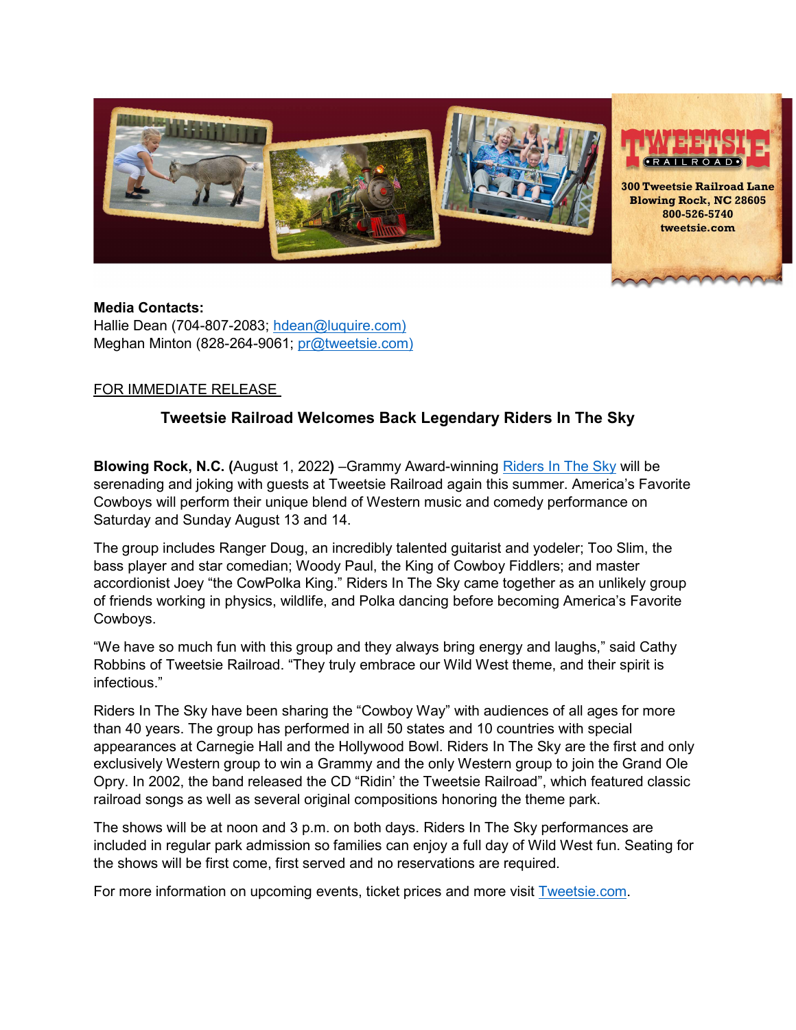

## **Media Contacts:** Hallie Dean (704-807-2083; [hdean@luquire.com\)](mailto:hdean@luquire.com) Meghan Minton (828-264-9061; [pr@tweetsie.com\)](mailto:pr@tweetsie.com))

## FOR IMMEDIATE RELEASE

## **Tweetsie Railroad Welcomes Back Legendary Riders In The Sky**

**Blowing Rock, N.C. (**August 1, 2022**)** –Grammy Award-winning [Riders In The Sky](https://www.ridersinthesky.com/) will be serenading and joking with guests at Tweetsie Railroad again this summer. America's Favorite Cowboys will perform their unique blend of Western music and comedy performance on Saturday and Sunday August 13 and 14.

The group includes Ranger Doug, an incredibly talented guitarist and yodeler; Too Slim, the bass player and star comedian; Woody Paul, the King of Cowboy Fiddlers; and master accordionist Joey "the CowPolka King." Riders In The Sky came together as an unlikely group of friends working in physics, wildlife, and Polka dancing before becoming America's Favorite Cowboys.

"We have so much fun with this group and they always bring energy and laughs," said Cathy Robbins of Tweetsie Railroad. "They truly embrace our Wild West theme, and their spirit is infectious."

Riders In The Sky have been sharing the "Cowboy Way" with audiences of all ages for more than 40 years. The group has performed in all 50 states and 10 countries with special appearances at Carnegie Hall and the Hollywood Bowl. Riders In The Sky are the first and only exclusively Western group to win a Grammy and the only Western group to join the Grand Ole Opry. In 2002, the band released the CD "Ridin' the Tweetsie Railroad", which featured classic railroad songs as well as several original compositions honoring the theme park.

The shows will be at noon and 3 p.m. on both days. Riders In The Sky performances are included in regular park admission so families can enjoy a full day of Wild West fun. Seating for the shows will be first come, first served and no reservations are required.

For more information on upcoming events, ticket prices and more visit [Tweetsie.com.](https://tweetsie.com/)